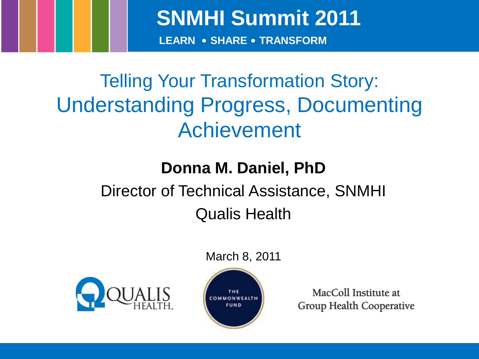**SNMHI Summit 2011**

**LEARN • SHARE • TRANSFORM**

## Telling Your Transformation Story: Understanding Progress, Documenting Achievement

### **Donna M. Daniel, PhD** Director of Technical Assistance, SNMHI

### Qualis Health

### March 8, 2011





MacColl Institute at Group Health Cooperative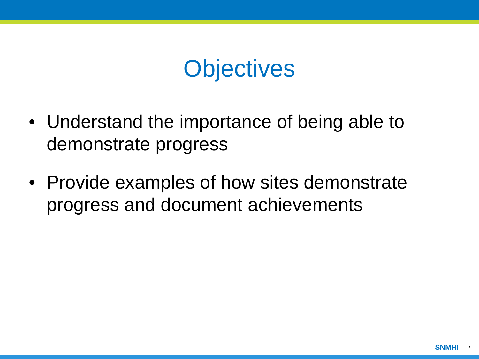## **Objectives**

- Understand the importance of being able to demonstrate progress
- Provide examples of how sites demonstrate progress and document achievements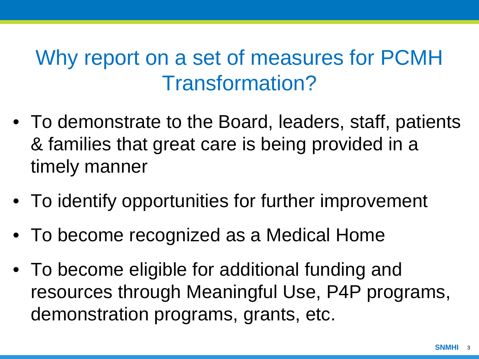### Why report on a set of measures for PCMH Transformation?

- To demonstrate to the Board, leaders, staff, patients & families that great care is being provided in a timely manner
- To identify opportunities for further improvement
- To become recognized as a Medical Home
- To become eligible for additional funding and resources through Meaningful Use, P4P programs, demonstration programs, grants, etc.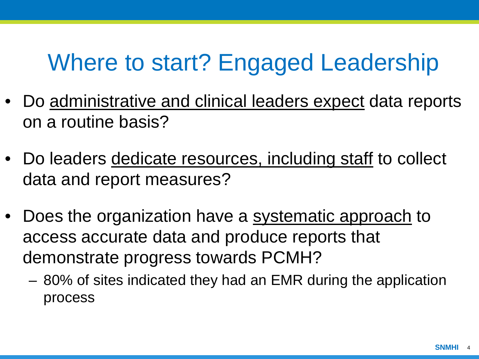## Where to start? Engaged Leadership

- Do administrative and clinical leaders expect data reports on a routine basis?
- Do leaders dedicate resources, including staff to collect data and report measures?
- Does the organization have a systematic approach to access accurate data and produce reports that demonstrate progress towards PCMH?
	- 80% of sites indicated they had an EMR during the application process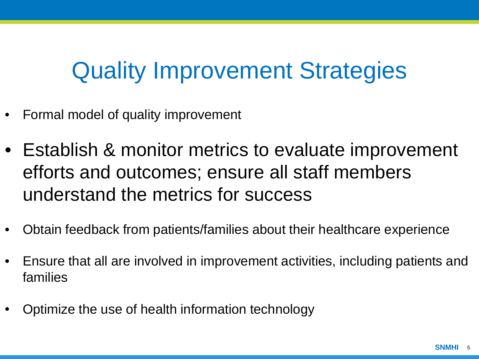## Quality Improvement Strategies

- Formal model of quality improvement
- Establish & monitor metrics to evaluate improvement efforts and outcomes; ensure all staff members understand the metrics for success
- Obtain feedback from patients/families about their healthcare experience
- Ensure that all are involved in improvement activities, including patients and families
- Optimize the use of health information technology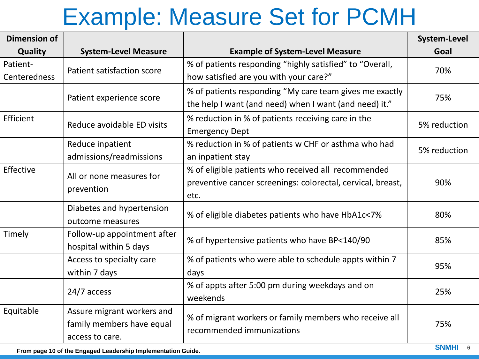## Example: Measure Set for PCMH

| <b>Dimension of</b>      |                                                                            |                                                                                                                            | <b>System-Level</b> |
|--------------------------|----------------------------------------------------------------------------|----------------------------------------------------------------------------------------------------------------------------|---------------------|
| Quality                  | <b>System-Level Measure</b>                                                | <b>Example of System-Level Measure</b>                                                                                     | Goal                |
| Patient-<br>Centeredness | Patient satisfaction score                                                 | % of patients responding "highly satisfied" to "Overall,<br>how satisfied are you with your care?"                         | 70%                 |
|                          | Patient experience score                                                   | % of patients responding "My care team gives me exactly<br>the help I want (and need) when I want (and need) it."          | 75%                 |
| Efficient                | Reduce avoidable ED visits                                                 | % reduction in % of patients receiving care in the<br><b>Emergency Dept</b>                                                | 5% reduction        |
|                          | Reduce inpatient<br>admissions/readmissions                                | % reduction in % of patients w CHF or asthma who had<br>an inpatient stay                                                  | 5% reduction        |
| Effective                | All or none measures for<br>prevention                                     | % of eligible patients who received all recommended<br>preventive cancer screenings: colorectal, cervical, breast,<br>etc. | 90%                 |
|                          | Diabetes and hypertension<br>outcome measures                              | % of eligible diabetes patients who have HbA1c<7%                                                                          | 80%                 |
| Timely                   | Follow-up appointment after<br>hospital within 5 days                      | % of hypertensive patients who have BP<140/90                                                                              | 85%                 |
|                          | Access to specialty care<br>within 7 days                                  | % of patients who were able to schedule appts within 7<br>days                                                             | 95%                 |
|                          | 24/7 access                                                                | % of appts after 5:00 pm during weekdays and on<br>weekends                                                                | 25%                 |
| Equitable                | Assure migrant workers and<br>family members have equal<br>access to care. | % of migrant workers or family members who receive all<br>recommended immunizations                                        | 75%                 |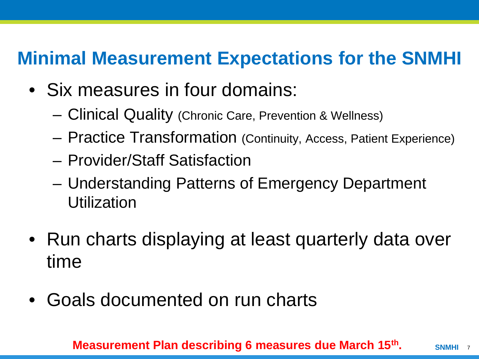### **Minimal Measurement Expectations for the SNMHI**

- Six measures in four domains:
	- Clinical Quality (Chronic Care, Prevention & Wellness)
	- Practice Transformation (Continuity, Access, Patient Experience)
	- Provider/Staff Satisfaction
	- Understanding Patterns of Emergency Department Utilization
- Run charts displaying at least quarterly data over time
- Goals documented on run charts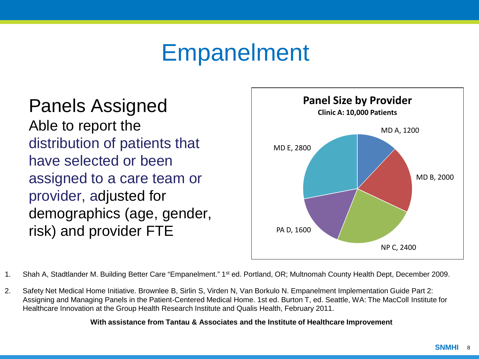## Empanelment

### Panels Assigned

Able to report the distribution of patients that have selected or been assigned to a care team or provider, adjusted for demographics (age, gender, risk) and provider FTE



1. Shah A, Stadtlander M. Building Better Care "Empanelment." 1st ed. Portland, OR; Multnomah County Health Dept, December 2009.

2. Safety Net Medical Home Initiative. Brownlee B, Sirlin S, Virden N, Van Borkulo N. Empanelment Implementation Guide Part 2: Assigning and Managing Panels in the Patient-Centered Medical Home. 1st ed. Burton T, ed. Seattle, WA: The MacColl Institute for Healthcare Innovation at the Group Health Research Institute and Qualis Health, February 2011.

#### **With assistance from Tantau & Associates and the Institute of Healthcare Improvement**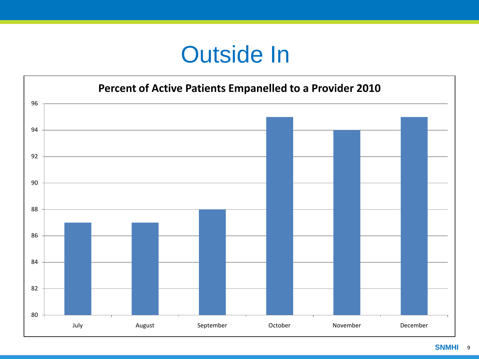## Outside In

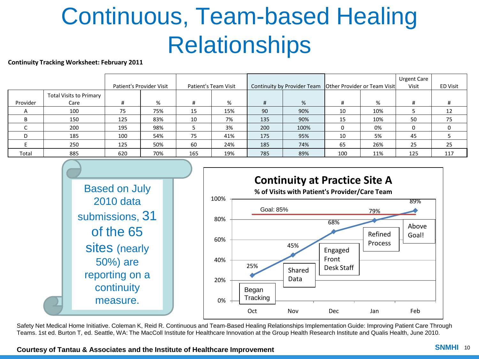# Continuous, Team-based Healing **Relationships**

#### **Continuity Tracking Worksheet: February 2011**

|                |                                        | Patient's Provider Visit |     | Patient's Team Visit |     | Continuity by Provider Team   Other Provider or Team Visit |      |     |     | <b>Urgent Care</b><br>Visit | ED Visit |
|----------------|----------------------------------------|--------------------------|-----|----------------------|-----|------------------------------------------------------------|------|-----|-----|-----------------------------|----------|
| Provider       | <b>Total Visits to Primary</b><br>Care |                          | %   | #                    | %   | #                                                          | %    | #   | %   | #                           | #        |
| $\overline{A}$ | 100                                    | 75                       | 75% | 15                   | 15% | 90                                                         | 90%  | 10  | 10% |                             | 12       |
| B              | 150                                    | 125                      | 83% | 10                   | 7%  | 135                                                        | 90%  | 15  | 10% | 50                          | 75       |
|                | 200                                    | 195                      | 98% |                      | 3%  | 200                                                        | 100% |     | 0%  |                             |          |
| D              | 185                                    | 100                      | 54% | 75                   | 41% | 175                                                        | 95%  | 10  | 5%  | 45                          |          |
|                | 250                                    | 125                      | 50% | 60                   | 24% | 185                                                        | 74%  | 65  | 26% | 25                          | 25       |
| Total          | 885                                    | 620                      | 70% | 165                  | 19% | 785                                                        | 89%  | 100 | 11% | 125                         | 117      |



Safety Net Medical Home Initiative. Coleman K, Reid R. Continuous and Team-Based Healing Relationships Implementation Guide: Improving Patient Care Through Teams. 1st ed. Burton T, ed. Seattle, WA: The MacColl Institute for Healthcare Innovation at the Group Health Research Institute and Qualis Health, June 2010.

**Courtesy of Tantau & Associates and the Institute of Healthcare Improvement**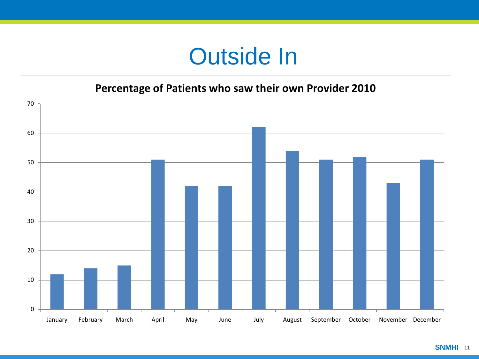## Outside In

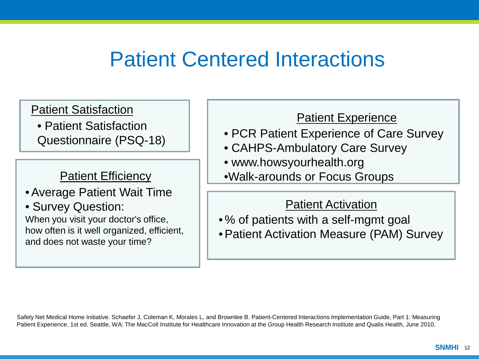### Patient Centered Interactions

Patient Satisfaction

• Patient Satisfaction Questionnaire (PSQ-18)

Patient Efficiency

- •Average Patient Wait Time
- Survey Question: When you visit your doctor's office, how often is it well organized, efficient, and does not waste your time?

#### Patient Experience

- PCR Patient Experience of Care Survey
- CAHPS-Ambulatory Care Survey
- www.howsyourhealth.org
- •Walk-arounds or Focus Groups

#### Patient Activation

- % of patients with a self-mgmt goal
- •Patient Activation Measure (PAM) Survey

Safety Net Medical Home Initiative. Schaefer J, Coleman K, Morales L, and Brownlee B. Patient-Centered Interactions Implementation Guide, Part 1: Measuring Patient Experience. 1st ed. Seattle, WA: The MacColl Institute for Healthcare Innovation at the Group Health Research Institute and Qualis Health, June 2010.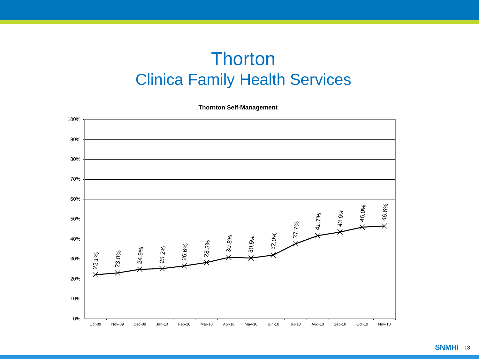### **Thorton** Clinica Family Health Services

**Thornton Self-Management**

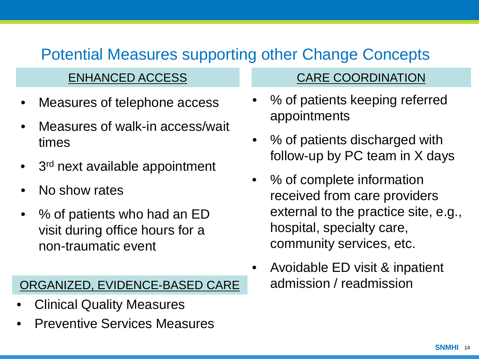### Potential Measures supporting other Change Concepts

- Measures of telephone access
- Measures of walk-in access/wait times
- 3<sup>rd</sup> next available appointment
- No show rates
- % of patients who had an ED visit during office hours for a non-traumatic event

#### ORGANIZED, EVIDENCE-BASED CARE

- Clinical Quality Measures
- Preventive Services Measures

#### ENHANCED ACCESS CARE COORDINATION

- % of patients keeping referred appointments
- % of patients discharged with follow-up by PC team in X days
- % of complete information received from care providers external to the practice site, e.g., hospital, specialty care, community services, etc.
- Avoidable ED visit & inpatient admission / readmission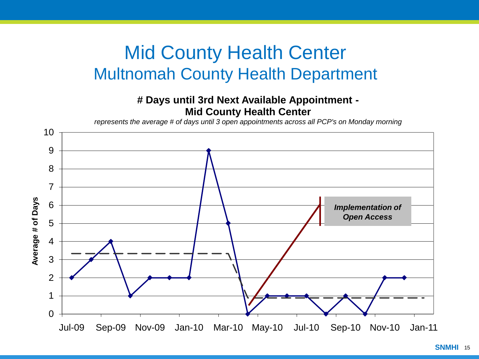### Mid County Health Center Multnomah County Health Department

#### **# Days until 3rd Next Available Appointment - Mid County Health Center**

*represents the average # of days until 3 open appointments across all PCP's on Monday morning*

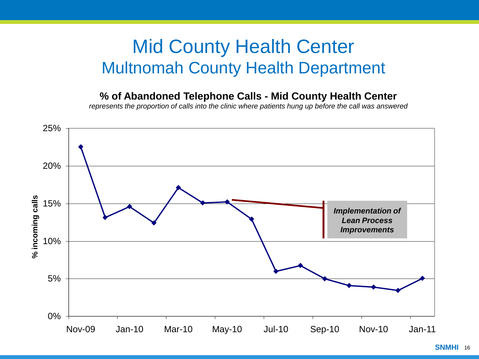### Mid County Health Center Multnomah County Health Department

#### **% of Abandoned Telephone Calls - Mid County Health Center**

*represents the proportion of calls into the clinic where patients hung up before the call was answered* 

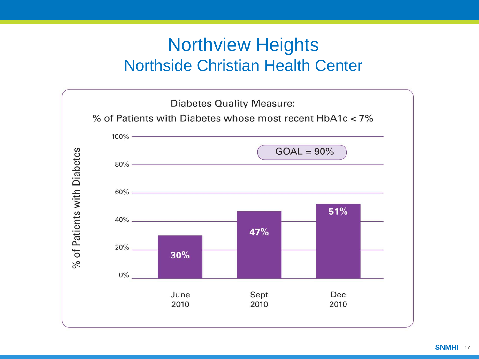### Northview Heights Northside Christian Health Center

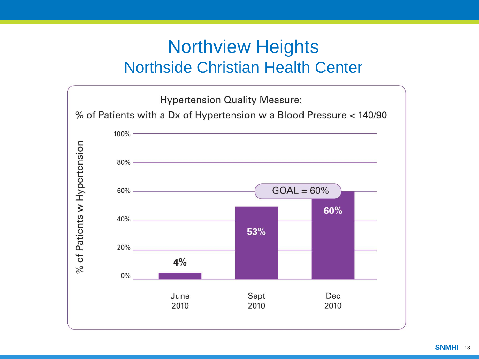### Northview Heights Northside Christian Health Center

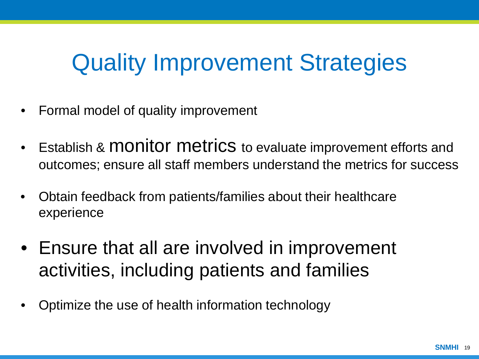## Quality Improvement Strategies

- Formal model of quality improvement
- Establish & MONITOL METRICS to evaluate improvement efforts and outcomes; ensure all staff members understand the metrics for success
- Obtain feedback from patients/families about their healthcare experience
- Ensure that all are involved in improvement activities, including patients and families
- Optimize the use of health information technology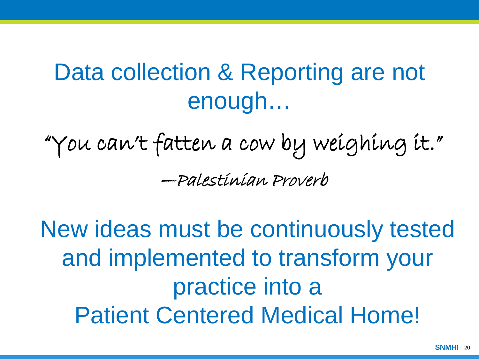## Data collection & Reporting are not enough…

"You can't fatten a cow by weighing it." —Palestinian Proverb

New ideas must be continuously tested and implemented to transform your practice into a Patient Centered Medical Home!